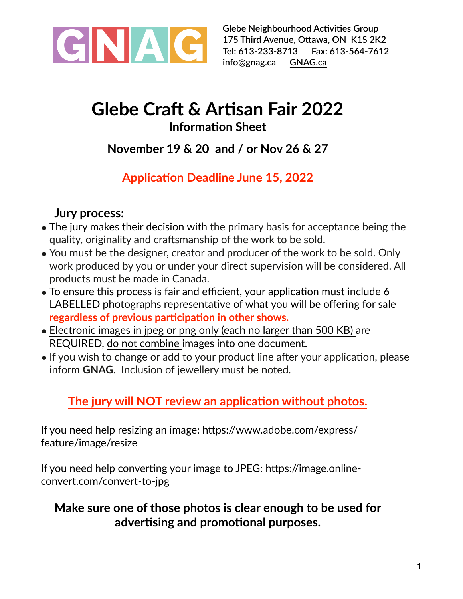

**Glebe Neighbourhood Activities Group 175 Third Avenue, Ottawa, ON K1S 2K2 Tel: 613-233-8713 Fax: 613-564-7612 [info@gnag.ca](mailto:info@gnag.ca) [GNAG.ca](http://GNAG.ca)**

# **Glebe Craft & Artisan Fair 2022 Information Sheet**

# **November 19 & 20 and / or Nov 26 & 27**

# **Application Deadline June 15, 2022**

#### **Jury process:**

- The jury makes their decision with the primary basis for acceptance being the quality, originality and craftsmanship of the work to be sold.
- You must be the designer, creator and producer of the work to be sold. Only work produced by you or under your direct supervision will be considered. All products must be made in Canada.
- To ensure this process is fair and efficient, your application must include 6 LABELLED photographs representative of what you will be offering for sale **regardless of previous participation in other shows.**
- Electronic images in jpeg or png only (each no larger than 500 KB) are REQUIRED, do not combine images into one document.
- If you wish to change or add to your product line after your application, please inform **GNAG**. Inclusion of jewellery must be noted.

### **The jury will NOT review an application without photos.**

If you need help resizing an image: https://www.adobe.com/express/ feature/image/resize

If you need help converting your image to JPEG: [https://image.online](https://image.online-convert.com/convert-to-jpg)[convert.com/convert-to-jpg](https://image.online-convert.com/convert-to-jpg)

#### **Make sure one of those photos is clear enough to be used for advertising and promotional purposes.**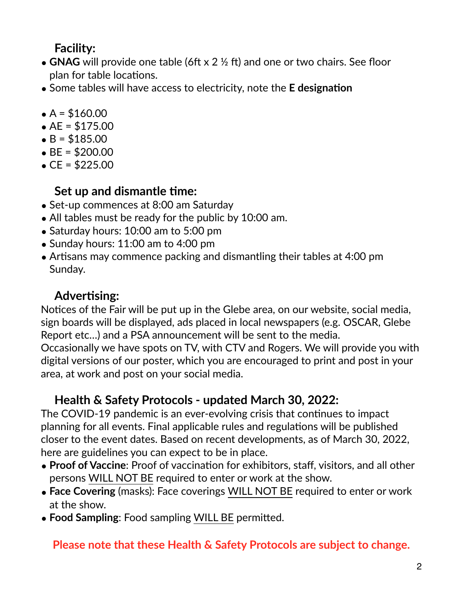#### **Facility:**

- **GNAG** will provide one table (6ft x 2 ½ ft) and one or two chairs. See floor plan for table locations.
- Some tables will have access to electricity, note the **E designation**
- $A = $160.00$
- $AE = $175.00$
- $\bullet$  B = \$185.00
- $BE = $200.00$
- $CE = $225.00$

#### **Set up and dismantle time:**

- Set-up commences at 8:00 am Saturday
- All tables must be ready for the public by 10:00 am.
- Saturday hours: 10:00 am to 5:00 pm
- Sunday hours: 11:00 am to 4:00 pm
- Artisans may commence packing and dismantling their tables at 4:00 pm Sunday.

#### **Advertising:**

Notices of the Fair will be put up in the Glebe area, on our website, social media, sign boards will be displayed, ads placed in local newspapers (e.g. OSCAR, Glebe Report etc…) and a PSA announcement will be sent to the media.

Occasionally we have spots on TV, with CTV and Rogers. We will provide you with digital versions of our poster, which you are encouraged to print and post in your area, at work and post on your social media.

### **Health & Safety Protocols - updated March 30, 2022:**

The COVID-19 pandemic is an ever-evolving crisis that continues to impact planning for all events. Final applicable rules and regulations will be published closer to the event dates. Based on recent developments, as of March 30, 2022, here are guidelines you can expect to be in place.

- **Proof of Vaccine**: Proof of vaccination for exhibitors, staff, visitors, and all other persons WILL NOT BE required to enter or work at the show.
- **Face Covering** (masks): Face coverings WILL NOT BE required to enter or work at the show.
- **Food Sampling**: Food sampling WILL BE permitted.

#### **Please note that these Health & Safety Protocols are subject to change.**